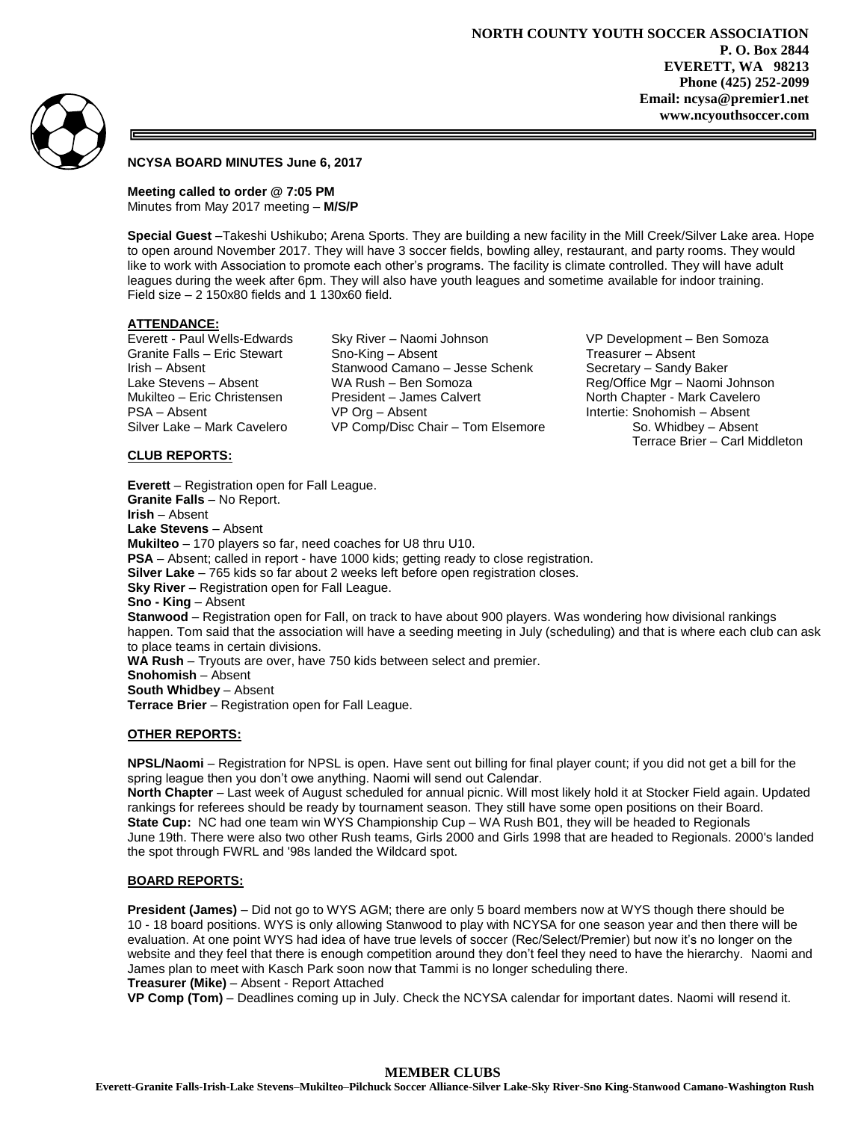

# **NCYSA BOARD MINUTES June 6, 2017**

**Meeting called to order @ 7:05 PM** Minutes from May 2017 meeting – **M/S/P**

**Special Guest** –Takeshi Ushikubo; Arena Sports. They are building a new facility in the Mill Creek/Silver Lake area. Hope to open around November 2017. They will have 3 soccer fields, bowling alley, restaurant, and party rooms. They would like to work with Association to promote each other's programs. The facility is climate controlled. They will have adult leagues during the week after 6pm. They will also have youth leagues and sometime available for indoor training. Field size  $-2$  150x80 fields and 1 130x60 field.

# **ATTENDANCE:**

Granite Falls – Eric Stewart Sno-King – Absent Treasurer – Absent Irish – Absent **Stanwood Camano – Jesse Schenk** Secretary – Sandy Baker<br>Lake Stevens – Absent MA Rush – Ben Somoza Reg/Office Mgr – Naomi 、 Lake Stevens – Absent WA Rush – Ben Somoza Reg/Office Mgr – Naomi Johnson<br>Mukilteo – Eric Christensen President – James Calvert Nort President – James Calvert North Chapter - Mark Cavelero PSA – Absent VP Org – Absent Intertie: Snohomish – Absent Silver Lake – Mark Cavelero VP Comp/Disc Chair – Tom Elsemore So. Whidbey – Absent

Everett - Paul Wells-Edwards Sky River – Naomi Johnson VP Development – Ben Somoza Terrace Brier – Carl Middleton

# **CLUB REPORTS:**

**Everett** – Registration open for Fall League. **Granite Falls** – No Report. **Irish** – Absent **Lake Stevens** – Absent **Mukilteo** – 170 players so far, need coaches for U8 thru U10. **PSA** – Absent; called in report - have 1000 kids; getting ready to close registration. **Silver Lake** – 765 kids so far about 2 weeks left before open registration closes. **Sky River** – Registration open for Fall League. **Sno - King** – Absent **Stanwood** – Registration open for Fall, on track to have about 900 players. Was wondering how divisional rankings happen. Tom said that the association will have a seeding meeting in July (scheduling) and that is where each club can ask to place teams in certain divisions. **WA Rush** – Tryouts are over, have 750 kids between select and premier. **Snohomish** – Absent **South Whidbey** – Absent **Terrace Brier** – Registration open for Fall League.

## **OTHER REPORTS:**

**NPSL/Naomi** – Registration for NPSL is open. Have sent out billing for final player count; if you did not get a bill for the spring league then you don't owe anything. Naomi will send out Calendar.

**North Chapter** – Last week of August scheduled for annual picnic. Will most likely hold it at Stocker Field again. Updated rankings for referees should be ready by tournament season. They still have some open positions on their Board. **State Cup:** NC had one team win WYS Championship Cup – WA Rush B01, they will be headed to Regionals June 19th. There were also two other Rush teams, Girls 2000 and Girls 1998 that are headed to Regionals. 2000's landed the spot through FWRL and '98s landed the Wildcard spot.

## **BOARD REPORTS:**

**President (James)** – Did not go to WYS AGM; there are only 5 board members now at WYS though there should be 10 - 18 board positions. WYS is only allowing Stanwood to play with NCYSA for one season year and then there will be evaluation. At one point WYS had idea of have true levels of soccer (Rec/Select/Premier) but now it's no longer on the website and they feel that there is enough competition around they don't feel they need to have the hierarchy. Naomi and James plan to meet with Kasch Park soon now that Tammi is no longer scheduling there. **Treasurer (Mike)** – Absent - Report Attached

**VP Comp (Tom)** – Deadlines coming up in July. Check the NCYSA calendar for important dates. Naomi will resend it.

#### **MEMBER CLUBS**

**Everett-Granite Falls-Irish-Lake Stevens–Mukilteo–Pilchuck Soccer Alliance-Silver Lake-Sky River-Sno King-Stanwood Camano-Washington Rush**